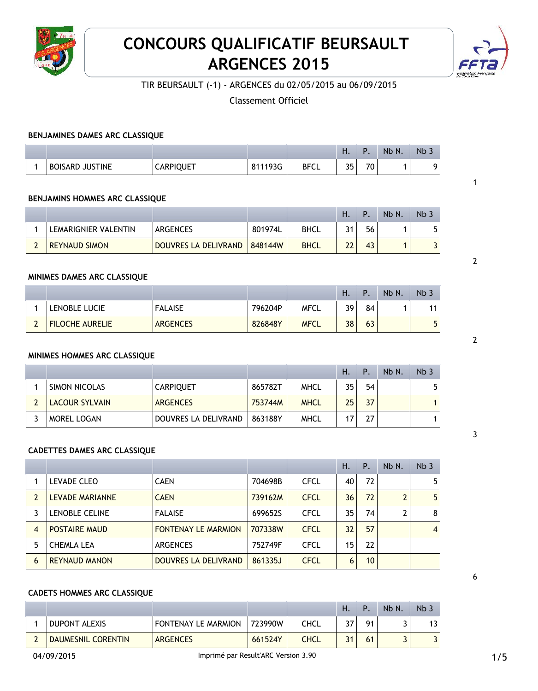

# **CONCOURS QUALIFICATIF BEURSAULT ARGENCES 2015**



1

2

2

3

6

TIR BEURSAULT (-1) - ARGENCES du 02/05/2015 au 06/09/2015

Classement Officiel

#### **BENJAMINES DAMES ARC CLASSIQUE**

|                             |                  |                         |             | . .                    | D                                 | Nb N. | $Nb$ . |
|-----------------------------|------------------|-------------------------|-------------|------------------------|-----------------------------------|-------|--------|
| <b>JUSTINE</b><br>BOISARD . | <b>CARPIQUET</b> | 193G<br>$^{\circ}$<br>ັ | <b>BFCL</b> | <b>DE</b><br><u>JJ</u> | $\overline{\phantom{a}}$<br>7 U I |       |        |

#### **BENJAMINS HOMMES ARC CLASSIQUE**

|                      |                      |         |             | Ή.       | P  | Nb N. | Nb <sub>3</sub> |
|----------------------|----------------------|---------|-------------|----------|----|-------|-----------------|
| LEMARIGNIER VALENTIN | <b>ARGENCES</b>      | 801974L | <b>BHCL</b> | 31       | 56 |       |                 |
| <b>REYNAUD SIMON</b> | DOUVRES LA DELIVRAND | 848144W | <b>BHCL</b> | າາ<br>LL | 43 |       |                 |

#### **MINIMES DAMES ARC CLASSIQUE**

|                        |                 |         |             | п. |    | Nb N. | Nb <sub>2</sub> |
|------------------------|-----------------|---------|-------------|----|----|-------|-----------------|
| LENOBLE LUCIE          | <b>FALAISE</b>  | 796204P | <b>MFCL</b> | 30 | 84 |       |                 |
| <b>FILOCHE AURELIE</b> | <b>ARGENCES</b> | 826848Y | <b>MFCL</b> | 38 | 63 |       | 5               |

## **MINIMES HOMMES ARC CLASSIQUE**

|                       |                      |         |             | Ή. | Ρ. | $Nb$ $N$ . | Nb <sub>3</sub> |
|-----------------------|----------------------|---------|-------------|----|----|------------|-----------------|
| <b>SIMON NICOLAS</b>  | <b>CARPIQUET</b>     | 865782T | MHCL        | 35 | 54 |            | 5               |
| <b>LACOUR SYLVAIN</b> | <b>ARGENCES</b>      | 753744M | <b>MHCL</b> | 25 | 37 |            |                 |
| <b>MOREL LOGAN</b>    | DOUVRES LA DELIVRAND | 863188Y | MHCL        |    | 27 |            |                 |

## **CADETTES DAMES ARC CLASSIQUE**

|   |                      |                            |         |             | Η.              | Ρ.              | Nb N.          | Nb <sub>3</sub> |
|---|----------------------|----------------------------|---------|-------------|-----------------|-----------------|----------------|-----------------|
|   | <b>LEVADE CLEO</b>   | <b>CAEN</b>                | 704698B | <b>CFCL</b> | 40              | 72              |                | 5               |
| 2 | LEVADE MARIANNE      | <b>CAEN</b>                | 739162M | <b>CFCL</b> | 36              | 72              | $\overline{2}$ | 5 <sub>1</sub>  |
|   | LENOBLE CELINE       | <b>FALAISE</b>             | 699652S | <b>CFCL</b> | 35              | 74              | $\overline{2}$ | 8               |
| 4 | <b>POSTAIRE MAUD</b> | <b>FONTENAY LE MARMION</b> | 707338W | <b>CFCL</b> | 32 <sup>2</sup> | 57              |                | 4               |
| 5 | <b>CHEMLA LEA</b>    | <b>ARGENCES</b>            | 752749F | <b>CFCL</b> | 15              | 22              |                |                 |
| 6 | <b>REYNAUD MANON</b> | DOUVRES LA DELIVRAND       | 861335J | <b>CFCL</b> | 6               | 10 <sup>1</sup> |                |                 |

#### **CADETS HOMMES ARC CLASSIQUE**

|                      |                     |         |             | Η. | Þ  | Nb N. | $Nb$ . |
|----------------------|---------------------|---------|-------------|----|----|-------|--------|
| <b>DUPONT ALEXIS</b> | FONTENAY LE MARMION | 723990W | CHCL        | 27 | 01 |       | 13     |
| DAUMESNIL CORENTIN   | <b>ARGENCES</b>     | 661524Y | <b>CHCL</b> | 31 | 61 |       |        |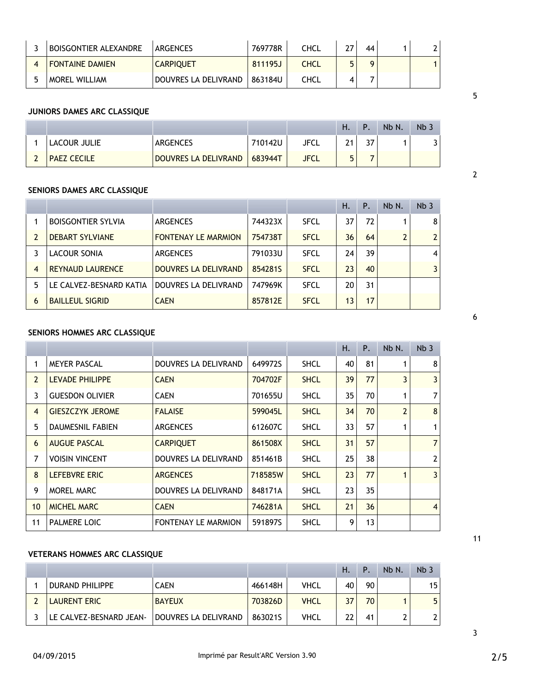| BOISGONTIER ALEXANDRE  | ARGENCES             | 769778R | <b>CHCL</b> | っっ | 44 |  |
|------------------------|----------------------|---------|-------------|----|----|--|
| <b>FONTAINE DAMIEN</b> | <b>CARPIQUET</b>     | 811195J | <b>CHCL</b> |    |    |  |
| <b>MOREL WILLIAM</b>   | DOUVRES LA DELIVRAND | 863184U | CHCL        |    |    |  |

#### **JUNIORS DAMES ARC CLASSIQUE**

|                    |                      |         |             | н. |          | Nb N. | Nb.               |
|--------------------|----------------------|---------|-------------|----|----------|-------|-------------------|
| LACOUR JULIE       | <b>ARGENCES</b>      | 710142U | JFCL        |    | ີ<br>، ب |       | $\mathbf{r}$<br>J |
| <b>PAEZ CECILE</b> | DOUVRES LA DELIVRAND | 683944T | <b>JFCL</b> |    |          |       |                   |

## **SENIORS DAMES ARC CLASSIQUE**

|   |                           |                            |         |             | Η. | Ρ. | Nb N. | Nb <sub>3</sub> |
|---|---------------------------|----------------------------|---------|-------------|----|----|-------|-----------------|
|   | <b>BOISGONTIER SYLVIA</b> | <b>ARGENCES</b>            | 744323X | <b>SFCL</b> | 37 | 72 |       | 8               |
| 2 | <b>DEBART SYLVIANE</b>    | <b>FONTENAY LE MARMION</b> | 754738T | <b>SFCL</b> | 36 | 64 | 2     | $\overline{2}$  |
|   | LACOUR SONIA              | <b>ARGENCES</b>            | 791033U | <b>SFCL</b> | 24 | 39 |       | 4               |
| 4 | <b>REYNAUD LAURENCE</b>   | DOUVRES LA DELIVRAND       | 8542815 | <b>SFCL</b> | 23 | 40 |       |                 |
| 5 | LE CALVEZ-BESNARD KATIA   | DOUVRES LA DELIVRAND       | 747969K | <b>SFCL</b> | 20 | 31 |       |                 |
| 6 | <b>BAILLEUL SIGRID</b>    | <b>CAEN</b>                | 857812E | <b>SFCL</b> | 13 | 17 |       |                 |

# **SENIORS HOMMES ARC CLASSIQUE**

|                |                         |                            |         |             | Н. | P. | Nb N.          | Nb <sub>3</sub> |
|----------------|-------------------------|----------------------------|---------|-------------|----|----|----------------|-----------------|
| 1              | <b>MEYER PASCAL</b>     | DOUVRES LA DELIVRAND       | 649972S | <b>SHCL</b> | 40 | 81 |                | 8               |
| $\overline{2}$ | <b>LEVADE PHILIPPE</b>  | <b>CAEN</b>                | 704702F | <b>SHCL</b> | 39 | 77 | 3              | 3 <sup>1</sup>  |
| 3              | <b>GUESDON OLIVIER</b>  | <b>CAEN</b>                | 701655U | <b>SHCL</b> | 35 | 70 |                | $\overline{7}$  |
| $\overline{4}$ | <b>GIESZCZYK JEROME</b> | <b>FALAISE</b>             | 599045L | <b>SHCL</b> | 34 | 70 | $\overline{2}$ | 8 <sup>1</sup>  |
| 5              | <b>DAUMESNIL FABIEN</b> | <b>ARGENCES</b>            | 612607C | <b>SHCL</b> | 33 | 57 |                |                 |
| 6              | <b>AUGUE PASCAL</b>     | <b>CARPIQUET</b>           | 861508X | <b>SHCL</b> | 31 | 57 |                | 7 <sup>1</sup>  |
| 7              | <b>VOISIN VINCENT</b>   | DOUVRES LA DELIVRAND       | 851461B | <b>SHCL</b> | 25 | 38 |                | 2 <sup>1</sup>  |
| 8              | <b>LEFEBVRE ERIC</b>    | <b>ARGENCES</b>            | 718585W | <b>SHCL</b> | 23 | 77 | 1              | $\overline{3}$  |
| 9              | <b>MOREL MARC</b>       | DOUVRES LA DELIVRAND       | 848171A | <b>SHCL</b> | 23 | 35 |                |                 |
| 10             | <b>MICHEL MARC</b>      | <b>CAEN</b>                | 746281A | <b>SHCL</b> | 21 | 36 |                | $\vert$         |
| 11             | PALMERE LOIC            | <b>FONTENAY LE MARMION</b> | 591897S | <b>SHCL</b> | 9  | 13 |                |                 |

# **VETERANS HOMMES ARC CLASSIQUE**

|                         |                      |         |             | Ή. | D  | Nb N. | Nb <sub>3</sub> |
|-------------------------|----------------------|---------|-------------|----|----|-------|-----------------|
| DURAND PHILIPPE         | <b>CAEN</b>          | 466148H | VHCL        | 40 | 90 |       | 15              |
| <b>LAURENT ERIC</b>     | <b>BAYEUX</b>        | 703826D | <b>VHCL</b> | 37 | 70 |       | 5               |
| LE CALVEZ-BESNARD JEAN- | DOUVRES LA DELIVRAND | 8630215 | VHCL        | 22 | 41 |       |                 |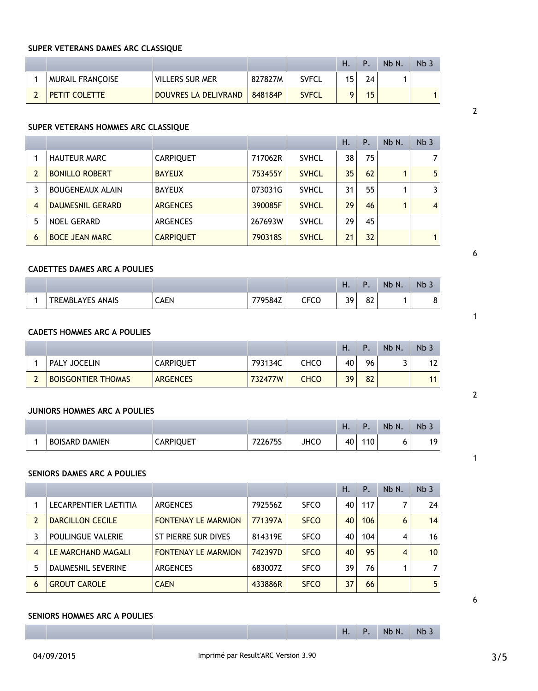# **SUPER VETERANS DAMES ARC CLASSIQUE**

|                         |                      |         |              | н. | P  | Nb N. | Nb <sub>3</sub> |
|-------------------------|----------------------|---------|--------------|----|----|-------|-----------------|
| <b>MURAIL FRANCOISE</b> | VILLERS SUR MER      | 827827M | <b>SVFCL</b> | 15 | 24 |       |                 |
| <b>PETIT COLETTE</b>    | DOUVRES LA DELIVRAND | 848184P | <b>SVFCL</b> |    | 15 |       |                 |

# **SUPER VETERANS HOMMES ARC CLASSIQUE**

|   |                         |                  |         |              | Η. | Ρ. | Nb N. | Nb <sub>3</sub> |
|---|-------------------------|------------------|---------|--------------|----|----|-------|-----------------|
|   | <b>HAUTEUR MARC</b>     | <b>CARPIQUET</b> | 717062R | <b>SVHCL</b> | 38 | 75 |       | $\overline{7}$  |
| 2 | <b>BONILLO ROBERT</b>   | <b>BAYEUX</b>    | 753455Y | <b>SVHCL</b> | 35 | 62 |       | 5 <sup>1</sup>  |
|   | <b>BOUGENEAUX ALAIN</b> | <b>BAYEUX</b>    | 073031G | <b>SVHCL</b> | 31 | 55 |       | $\mathbf{3}$    |
| 4 | DAUMESNIL GERARD        | <b>ARGENCES</b>  | 390085F | <b>SVHCL</b> | 29 | 46 |       | $\vert$         |
| 5 | <b>NOEL GERARD</b>      | <b>ARGENCES</b>  | 267693W | <b>SVHCL</b> | 29 | 45 |       |                 |
| 6 | <b>BOCE JEAN MARC</b>   | <b>CARPIQUET</b> | 790318S | <b>SVHCL</b> | 21 | 32 |       |                 |

## **CADETTES DAMES ARC A POULIES**

|                                   |      |        |                       | Η. | D        | Nb N. | Nb <sub>3</sub> |
|-----------------------------------|------|--------|-----------------------|----|----------|-------|-----------------|
| <b>ANAIS</b><br><b>TREMBLAYES</b> | CAEN | '9584Z | ---^<br>- 1<br>w<br>ີ | 39 | ດາ<br>٥۷ |       | $\Omega$<br>c   |

# **CADETS HOMMES ARC A POULIES**

|                           |                  |         |             | Н. | D  | Nb N. | Nb <sup>2</sup> |
|---------------------------|------------------|---------|-------------|----|----|-------|-----------------|
| <b>PALY JOCELIN</b>       | <b>CARPIQUET</b> | 793134C | CHCO        | 40 | 96 |       | 12              |
| <b>BOISGONTIER THOMAS</b> | <b>ARGENCES</b>  | 732477W | <b>CHCO</b> | 39 | 82 |       | 11              |

# **JUNIORS HOMMES ARC A POULIES**

|                       |                  |                    |      | п. |    | <b>Nb</b><br>N. | $Nb$ . |
|-----------------------|------------------|--------------------|------|----|----|-----------------|--------|
| <b>BOISARD DAMIEN</b> | <b>CARPIQUET</b> | 7776750<br>7701 JJ | JHCC | 40 | 10 |                 | 19     |

# **SENIORS DAMES ARC A POULIES**

|   |                          |                            |         |             | Η. | Ρ.  | Nb N. | Nb <sub>3</sub> |
|---|--------------------------|----------------------------|---------|-------------|----|-----|-------|-----------------|
|   | LECARPENTIER LAETITIA    | <b>ARGENCES</b>            | 792556Z | <b>SFCO</b> | 40 | 117 |       | 24              |
|   | <b>DARCILLON CECILE</b>  | <b>FONTENAY LE MARMION</b> | 771397A | <b>SFCO</b> | 40 | 106 | 6     | 14              |
|   | <b>POULINGUE VALERIE</b> | ST PIERRE SUR DIVES        | 814319E | <b>SFCO</b> | 40 | 104 | 4     | 16              |
| 4 | LE MARCHAND MAGALI       | <b>FONTENAY LE MARMION</b> | 742397D | <b>SFCO</b> | 40 | 95  | 4     | 10              |
| 5 | DAUMESNIL SEVERINE       | <b>ARGENCES</b>            | 683007Z | <b>SFCO</b> | 39 | 76  |       | $\overline{7}$  |
| 6 | <b>GROUT CAROLE</b>      | <b>CAEN</b>                | 433886R | <b>SFCO</b> | 37 | 66  |       | 5               |

## **SENIORS HOMMES ARC A POULIES**

|  |  | . .<br>- | - 10 | Nh N<br>.<br>$\cdots$ | <b>N<sub>h</sub></b><br><b>STAR</b> |
|--|--|----------|------|-----------------------|-------------------------------------|
|  |  |          |      |                       |                                     |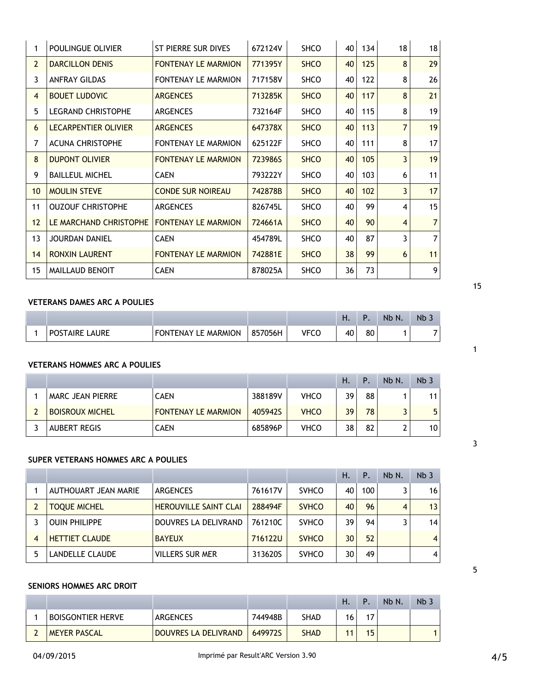|                | 29                                                                                             |
|----------------|------------------------------------------------------------------------------------------------|
| 8              | 26                                                                                             |
| 8              | 21                                                                                             |
| 8              | 19                                                                                             |
| $\overline{7}$ | 19                                                                                             |
| 8              | 17                                                                                             |
| 3              | 19                                                                                             |
| 6              | 11                                                                                             |
| 3              | 17                                                                                             |
| 4              | 15                                                                                             |
| $\overline{4}$ | $\overline{7}$                                                                                 |
| 3              | 7                                                                                              |
| 6              | 11                                                                                             |
|                | 9                                                                                              |
|                | 125<br>8<br>122<br>117<br>115<br>113<br>111<br>105<br>103<br>102<br>99<br>90<br>87<br>99<br>73 |

## **VETERANS DAMES ARC A POULIES**

|                        |                              |         |      | . .                  |    | Nb N. | $NB -$ |
|------------------------|------------------------------|---------|------|----------------------|----|-------|--------|
| LAURE<br>TAIRE L<br>יש | <b>MARMION</b><br>TONTFNAYIF | 857056H | VECC | 4 <sup>C</sup><br>τ. | 80 |       |        |

#### **VETERANS HOMMES ARC A POULIES**

|                         |                            |         |             | Η. | Þ  | Nb N. | Nb <sub>3</sub> |
|-------------------------|----------------------------|---------|-------------|----|----|-------|-----------------|
| <b>MARC JEAN PIERRE</b> | <b>CAEN</b>                | 388189V | <b>VHCO</b> | 39 | 88 |       | 11              |
| <b>BOISROUX MICHEL</b>  | <b>FONTENAY LE MARMION</b> | 405942S | <b>VHCO</b> | 39 | 78 |       | 5               |
| <b>AUBERT REGIS</b>     | CAEN                       | 685896P | <b>VHCO</b> | 38 | 82 | ົ     | 10              |

# **SUPER VETERANS HOMMES ARC A POULIES**

|                |                        |                              |         |              | Η. | Ρ.  | Nb N. | Nb <sub>3</sub> |
|----------------|------------------------|------------------------------|---------|--------------|----|-----|-------|-----------------|
|                | AUTHOUART JEAN MARIE   | ARGENCES                     | 761617V | <b>SVHCO</b> | 40 | 100 | 3     | 16              |
|                | <b>TOQUE MICHEL</b>    | <b>HEROUVILLE SAINT CLAI</b> | 288494F | <b>SVHCO</b> | 40 | 96  | 4     | 13              |
|                | <b>OUIN PHILIPPE</b>   | DOUVRES LA DELIVRAND         | 761210C | <b>SVHCO</b> | 39 | 94  | ∍     | 14              |
| $\overline{4}$ | <b>HETTIET CLAUDE</b>  | <b>BAYEUX</b>                | 716122U | <b>SVHCO</b> | 30 | 52  |       | $\overline{4}$  |
| 5              | <b>LANDELLE CLAUDE</b> | <b>VILLERS SUR MER</b>       | 313620S | <b>SVHCO</b> | 30 | 49  |       | $\overline{4}$  |

#### **SENIORS HOMMES ARC DROIT**

|                          |                      |         |             | Η. | D | Nb N. | Nb <sub>&gt;</sub> |
|--------------------------|----------------------|---------|-------------|----|---|-------|--------------------|
| <b>BOISGONTIER HERVE</b> | <b>ARGENCES</b>      | 744948B | <b>SHAD</b> | 16 |   |       |                    |
| <b>MEYER PASCAL</b>      | DOUVRES LA DELIVRAND | 649972S | <b>SHAD</b> |    |   |       |                    |

|  | ٠ |
|--|---|
|  |   |